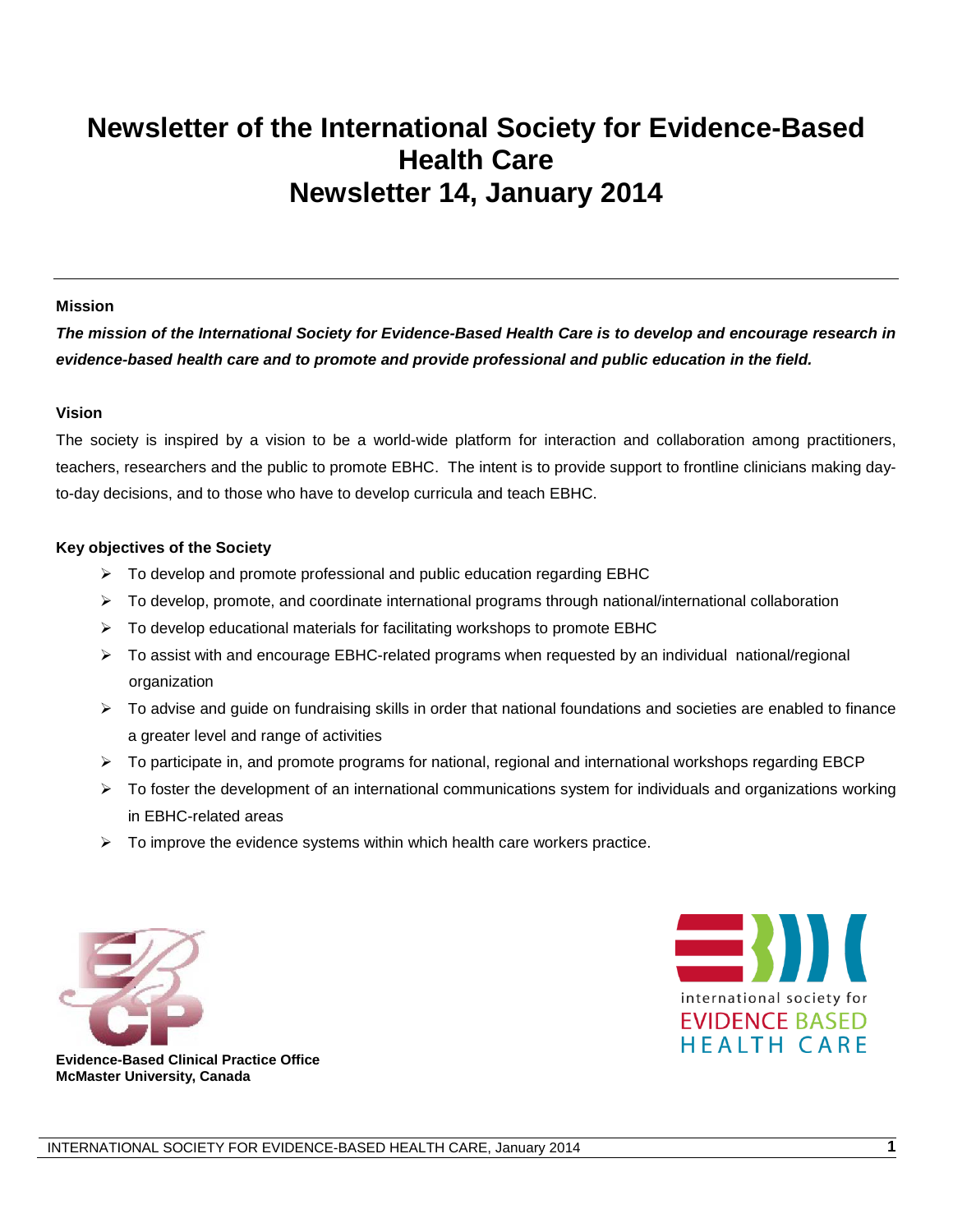# **Newsletter of the International Society for Evidence-Based Health Care Newsletter 14, January 2014**

#### **Mission**

*The mission of the International Society for Evidence-Based Health Care is to develop and encourage research in evidence-based health care and to promote and provide professional and public education in the field.*

#### **Vision**

The society is inspired by a vision to be a world-wide platform for interaction and collaboration among practitioners, teachers, researchers and the public to promote EBHC. The intent is to provide support to frontline clinicians making dayto-day decisions, and to those who have to develop curricula and teach EBHC.

#### **Key objectives of the Society**

- $\triangleright$  To develop and promote professional and public education regarding EBHC
- $\triangleright$  To develop, promote, and coordinate international programs through national/international collaboration
- $\triangleright$  To develop educational materials for facilitating workshops to promote EBHC
- To assist with and encourage EBHC-related programs when requested by an individual national/regional organization
- $\triangleright$  To advise and guide on fundraising skills in order that national foundations and societies are enabled to finance a greater level and range of activities
- $\triangleright$  To participate in, and promote programs for national, regional and international workshops regarding EBCP
- $\triangleright$  To foster the development of an international communications system for individuals and organizations working in EBHC-related areas
- $\triangleright$  To improve the evidence systems within which health care workers practice.





**Evidence-Based Clinical Practice Office McMaster University, Canada**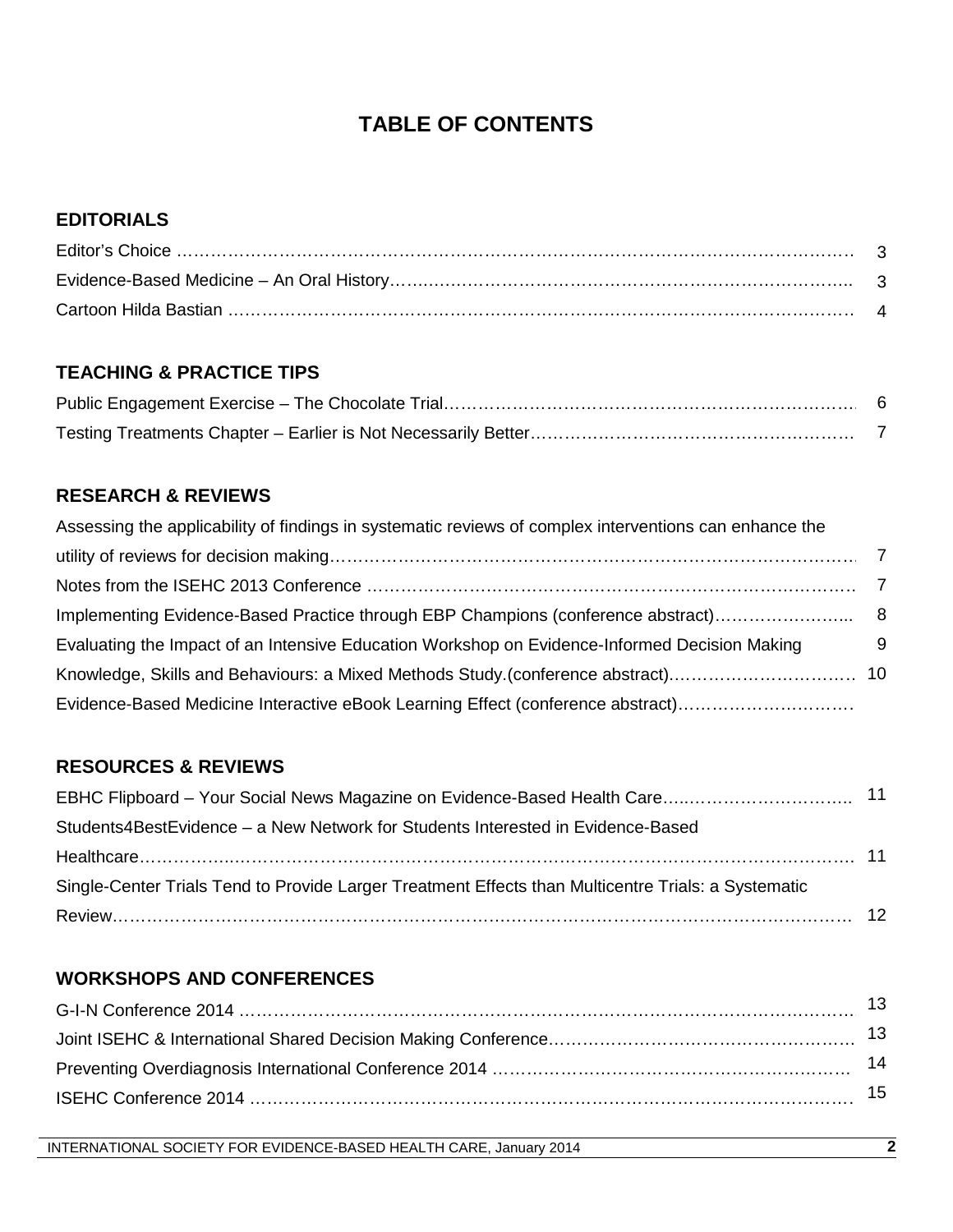# **TABLE OF CONTENTS**

# **EDITORIALS**

# **TEACHING & PRACTICE TIPS**

# **RESEARCH & REVIEWS**

| Assessing the applicability of findings in systematic reviews of complex interventions can enhance the |   |
|--------------------------------------------------------------------------------------------------------|---|
|                                                                                                        |   |
|                                                                                                        |   |
|                                                                                                        |   |
| Evaluating the Impact of an Intensive Education Workshop on Evidence-Informed Decision Making          | 9 |
|                                                                                                        |   |
| Evidence-Based Medicine Interactive eBook Learning Effect (conference abstract)                        |   |

## **RESOURCES & REVIEWS**

| Students4BestEvidence - a New Network for Students Interested in Evidence-Based                     |  |
|-----------------------------------------------------------------------------------------------------|--|
|                                                                                                     |  |
| Single-Center Trials Tend to Provide Larger Treatment Effects than Multicentre Trials: a Systematic |  |
|                                                                                                     |  |

# **WORKSHOPS AND CONFERENCES**

| 13. |
|-----|
| 14  |
| 15. |
|     |

INTERNATIONAL SOCIETY FOR EVIDENCE-BASED HEALTH CARE, January 2014 **2**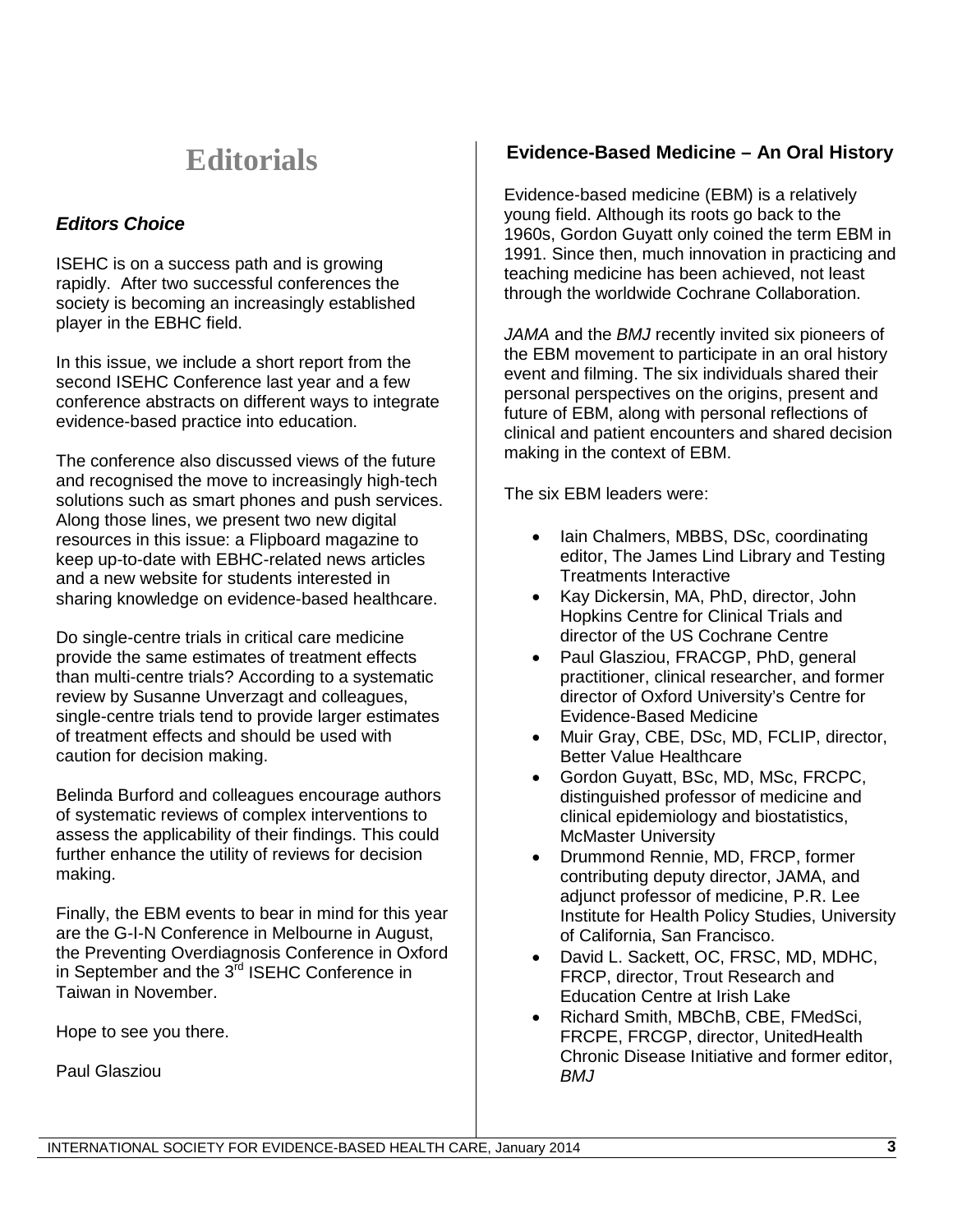# **Editorials**

# *Editors Choice*

ISEHC is on a success path and is growing rapidly. After two successful conferences the society is becoming an increasingly established player in the EBHC field.

In this issue, we include a short report from the second ISEHC Conference last year and a few conference abstracts on different ways to integrate evidence-based practice into education.

The conference also discussed views of the future and recognised the move to increasingly high-tech solutions such as smart phones and push services. Along those lines, we present two new digital resources in this issue: a Flipboard magazine to keep up-to-date with EBHC-related news articles and a new website for students interested in sharing knowledge on evidence-based healthcare.

Do single-centre trials in critical care medicine provide the same estimates of treatment effects than multi-centre trials? According to a systematic review by Susanne Unverzagt and colleagues, single-centre trials tend to provide larger estimates of treatment effects and should be used with caution for decision making.

Belinda Burford and colleagues encourage authors of systematic reviews of complex interventions to assess the applicability of their findings. This could further enhance the utility of reviews for decision making.

Finally, the EBM events to bear in mind for this year are the G-I-N Conference in Melbourne in August, the Preventing Overdiagnosis Conference in Oxford in September and the 3<sup>rd</sup> ISEHC Conference in Taiwan in November.

Hope to see you there.

Paul Glasziou

# **Evidence-Based Medicine – An Oral History**

Evidence-based medicine (EBM) is a relatively young field. Although its roots go back to the 1960s, Gordon Guyatt only coined the term EBM in 1991. Since then, much innovation in practicing and teaching medicine has been achieved, not least through the worldwide Cochrane Collaboration.

*JAMA* and the *BMJ* recently invited six pioneers of the EBM movement to participate in an oral history event and filming. The six individuals shared their personal perspectives on the origins, present and future of EBM, along with personal reflections of clinical and patient encounters and shared decision making in the context of EBM.

The six EBM leaders were:

- Iain Chalmers, MBBS, DSc, coordinating editor, The James Lind Library and Testing Treatments Interactive
- Kay Dickersin, MA, PhD, director, John Hopkins Centre for Clinical Trials and director of the US Cochrane Centre
- Paul Glasziou, FRACGP, PhD, general practitioner, clinical researcher, and former director of Oxford University's Centre for Evidence-Based Medicine
- Muir Gray, CBE, DSc, MD, FCLIP, director, Better Value Healthcare
- Gordon Guyatt, BSc, MD, MSc, FRCPC, distinguished professor of medicine and clinical epidemiology and biostatistics, McMaster University
- Drummond Rennie, MD, FRCP, former contributing deputy director, JAMA, and adjunct professor of medicine, P.R. Lee Institute for Health Policy Studies, University of California, San Francisco.
- David L. Sackett, OC, FRSC, MD, MDHC, FRCP, director, Trout Research and Education Centre at Irish Lake
- Richard Smith, MBChB, CBE, FMedSci, FRCPE, FRCGP, director, UnitedHealth Chronic Disease Initiative and former editor, *BMJ*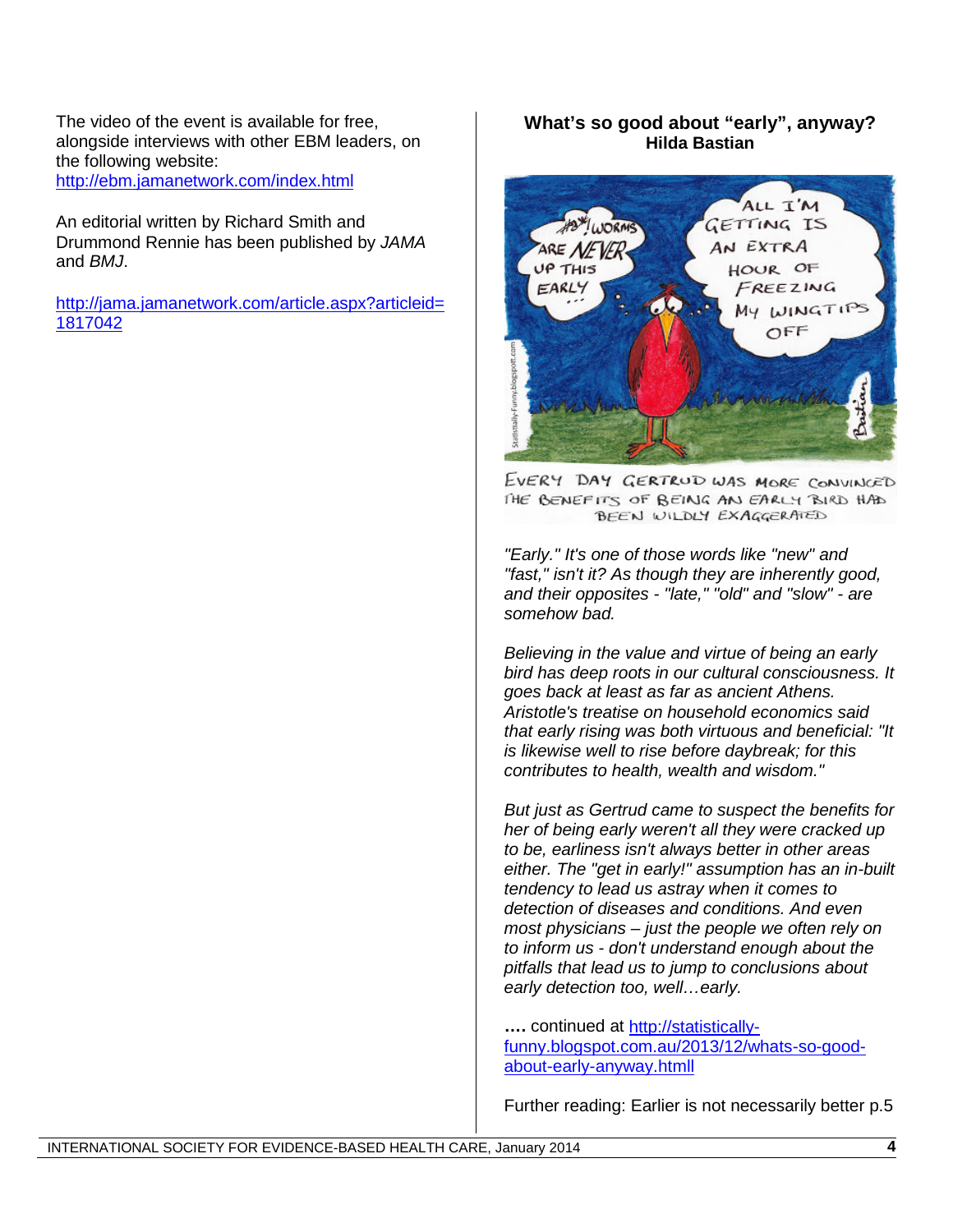The video of the event is available for free, alongside interviews with other EBM leaders, on the following website: <http://ebm.jamanetwork.com/index.html>

An editorial written by Richard Smith and Drummond Rennie has been published by *JAMA* and *BMJ*.

[http://jama.jamanetwork.com/article.aspx?articleid=](http://jama.jamanetwork.com/article.aspx?articleid=1817042) [1817042](http://jama.jamanetwork.com/article.aspx?articleid=1817042)

### **What's so good about "early", anyway? Hilda Bastian**



EVERY DAY GERTRUD WAS MORE CONVINCED THE BENEFITS OF BEING AN EARLY BIRD HAD BEEN WILDLY EXAGGERATED

*"Early." It's one of those words like "new" and "fast," isn't it? As though they are inherently good, and their opposites - "late," "old" and "slow" - are somehow bad.*

*Believing in the value and virtue of being an early bird has deep roots in our cultural consciousness. It goes back at least as far as ancient Athens. Aristotle's treatise on household economics said that early rising was both virtuous and beneficial: "It is likewise well to rise before daybreak; for this contributes to health, wealth and wisdom."*

*But just as Gertrud came to suspect the benefits for her of being early weren't all they were cracked up to be, earliness isn't always better in other areas either. The "get in early!" assumption has an in-built tendency to lead us astray when it comes to detection of diseases and conditions. And even most physicians – just the people we often rely on to inform us - don't understand enough about the pitfalls that lead us to jump to conclusions about early detection too, well…early.*

**….** continued at [http://statistically](http://statistically-funny.blogspot.com.au/2013/12/whats-so-good-about-early-anyway.htmll)[funny.blogspot.com.au/2013/12/whats-so-good](http://statistically-funny.blogspot.com.au/2013/12/whats-so-good-about-early-anyway.htmll)[about-early-anyway.htmll](http://statistically-funny.blogspot.com.au/2013/12/whats-so-good-about-early-anyway.htmll)

Further reading: Earlier is not necessarily better p.5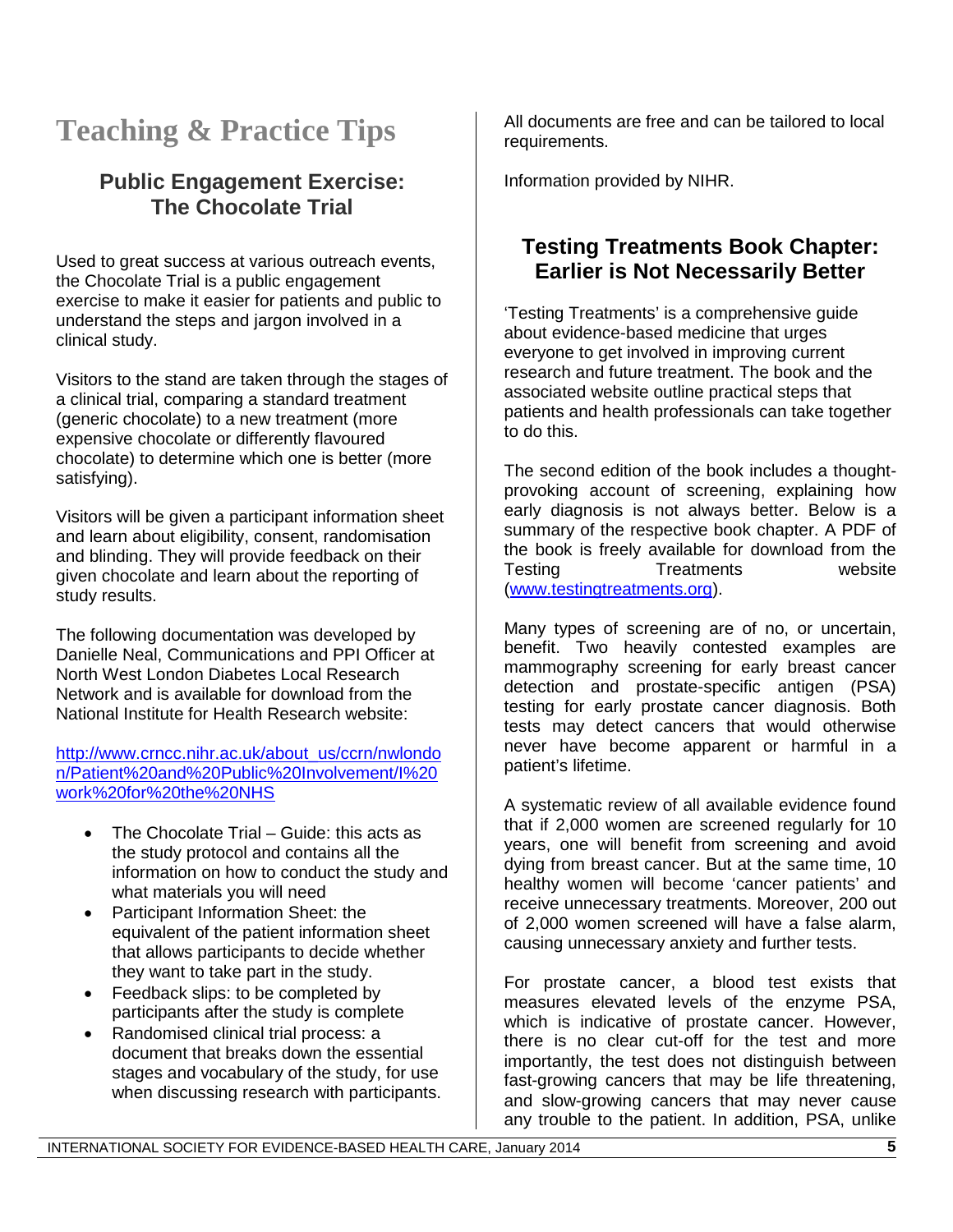# **Teaching & Practice Tips**

# **Public Engagement Exercise: The Chocolate Trial**

Used to great success at various outreach events, the Chocolate Trial is a public engagement exercise to make it easier for patients and public to understand the steps and jargon involved in a clinical study.

Visitors to the stand are taken through the stages of a clinical trial, comparing a standard treatment (generic chocolate) to a new treatment (more expensive chocolate or differently flavoured chocolate) to determine which one is better (more satisfying).

Visitors will be given a participant information sheet and learn about eligibility, consent, randomisation and blinding. They will provide feedback on their given chocolate and learn about the reporting of study results.

The following documentation was developed by Danielle Neal, Communications and PPI Officer at North West London Diabetes Local Research Network and is available for download from the National Institute for Health Research website:

[http://www.crncc.nihr.ac.uk/about\\_us/ccrn/nwlondo](http://www.crncc.nihr.ac.uk/about_us/ccrn/nwlondon/Patient%20and%20Public%20Involvement/I%20work%20for%20the%20NHS) [n/Patient%20and%20Public%20Involvement/I%20](http://www.crncc.nihr.ac.uk/about_us/ccrn/nwlondon/Patient%20and%20Public%20Involvement/I%20work%20for%20the%20NHS) [work%20for%20the%20NHS](http://www.crncc.nihr.ac.uk/about_us/ccrn/nwlondon/Patient%20and%20Public%20Involvement/I%20work%20for%20the%20NHS)

- The Chocolate Trial Guide: this acts as the study protocol and contains all the information on how to conduct the study and what materials you will need
- Participant Information Sheet: the equivalent of the patient information sheet that allows participants to decide whether they want to take part in the study.
- Feedback slips: to be completed by participants after the study is complete
- Randomised clinical trial process: a document that breaks down the essential stages and vocabulary of the study, for use when discussing research with participants.

All documents are free and can be tailored to local requirements.

Information provided by NIHR.

# **Testing Treatments Book Chapter: Earlier is Not Necessarily Better**

'Testing Treatments' is a comprehensive guide about evidence-based medicine that urges everyone to get involved in improving current research and future treatment. The book and the associated website outline practical steps that patients and health professionals can take together to do this.

The second edition of the book includes a thoughtprovoking account of screening, explaining how early diagnosis is not always better. Below is a summary of the respective book chapter. A PDF of the book is freely available for download from the Testing Treatments website [\(www.testingtreatments.org\)](http://www.testingtreatments.org/).

Many types of screening are of no, or uncertain, benefit. Two heavily contested examples are mammography screening for early breast cancer detection and prostate-specific antigen (PSA) testing for early prostate cancer diagnosis. Both tests may detect cancers that would otherwise never have become apparent or harmful in a patient's lifetime.

A systematic review of all available evidence found that if 2,000 women are screened regularly for 10 years, one will benefit from screening and avoid dying from breast cancer. But at the same time, 10 healthy women will become 'cancer patients' and receive unnecessary treatments. Moreover, 200 out of 2,000 women screened will have a false alarm, causing unnecessary anxiety and further tests.

For prostate cancer, a blood test exists that measures elevated levels of the enzyme PSA, which is indicative of prostate cancer. However, there is no clear cut-off for the test and more importantly, the test does not distinguish between fast-growing cancers that may be life threatening, and slow-growing cancers that may never cause any trouble to the patient. In addition, PSA, unlike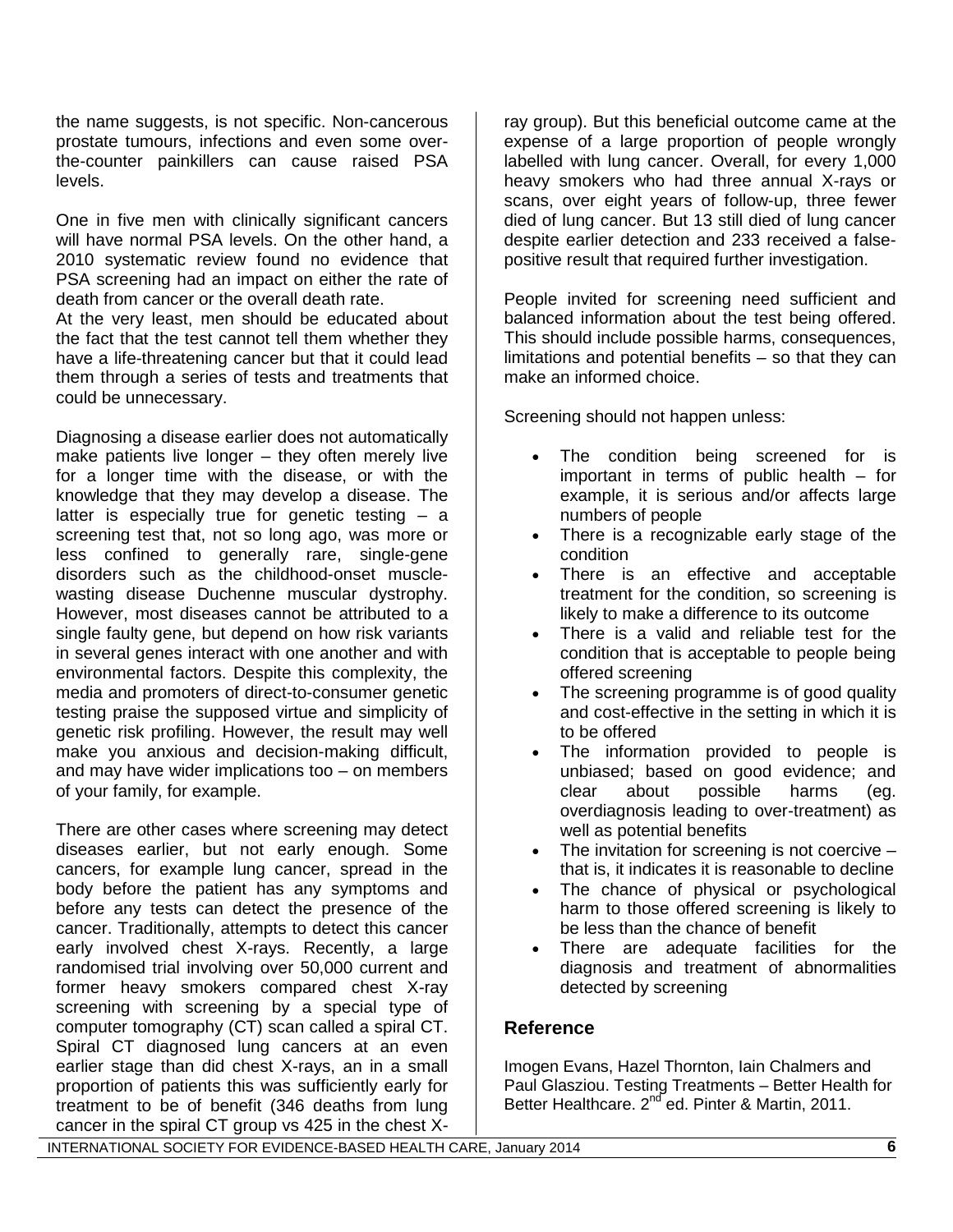the name suggests, is not specific. Non-cancerous prostate tumours, infections and even some overthe-counter painkillers can cause raised PSA levels.

One in five men with clinically significant cancers will have normal PSA levels. On the other hand, a 2010 systematic review found no evidence that PSA screening had an impact on either the rate of death from cancer or the overall death rate.

At the very least, men should be educated about the fact that the test cannot tell them whether they have a life-threatening cancer but that it could lead them through a series of tests and treatments that could be unnecessary.

Diagnosing a disease earlier does not automatically make patients live longer – they often merely live for a longer time with the disease, or with the knowledge that they may develop a disease. The latter is especially true for genetic testing – a screening test that, not so long ago, was more or less confined to generally rare, single-gene disorders such as the childhood-onset musclewasting disease Duchenne muscular dystrophy. However, most diseases cannot be attributed to a single faulty gene, but depend on how risk variants in several genes interact with one another and with environmental factors. Despite this complexity, the media and promoters of direct-to-consumer genetic testing praise the supposed virtue and simplicity of genetic risk profiling. However, the result may well make you anxious and decision-making difficult, and may have wider implications too – on members of your family, for example.

There are other cases where screening may detect diseases earlier, but not early enough. Some cancers, for example lung cancer, spread in the body before the patient has any symptoms and before any tests can detect the presence of the cancer. Traditionally, attempts to detect this cancer early involved chest X-rays. Recently, a large randomised trial involving over 50,000 current and former heavy smokers compared chest X-ray screening with screening by a special type of computer tomography (CT) scan called a spiral CT. Spiral CT diagnosed lung cancers at an even earlier stage than did chest X-rays, an in a small proportion of patients this was sufficiently early for treatment to be of benefit (346 deaths from lung cancer in the spiral CT group vs 425 in the chest X-

ray group). But this beneficial outcome came at the expense of a large proportion of people wrongly labelled with lung cancer. Overall, for every 1,000 heavy smokers who had three annual X-rays or scans, over eight years of follow-up, three fewer died of lung cancer. But 13 still died of lung cancer despite earlier detection and 233 received a falsepositive result that required further investigation.

People invited for screening need sufficient and balanced information about the test being offered. This should include possible harms, consequences, limitations and potential benefits – so that they can make an informed choice.

Screening should not happen unless:

- The condition being screened for is important in terms of public health – for example, it is serious and/or affects large numbers of people
- There is a recognizable early stage of the condition
- There is an effective and acceptable treatment for the condition, so screening is likely to make a difference to its outcome
- There is a valid and reliable test for the condition that is acceptable to people being offered screening
- The screening programme is of good quality and cost-effective in the setting in which it is to be offered
- The information provided to people is unbiased; based on good evidence; and clear about possible harms (eg. overdiagnosis leading to over-treatment) as well as potential benefits
- The invitation for screening is not coercive  $$ that is, it indicates it is reasonable to decline
- The chance of physical or psychological harm to those offered screening is likely to be less than the chance of benefit
- There are adequate facilities for the diagnosis and treatment of abnormalities detected by screening

### **Reference**

Imogen Evans, Hazel Thornton, Iain Chalmers and Paul Glasziou. Testing Treatments – Better Health for Better Healthcare. 2<sup>nd</sup> ed. Pinter & Martin, 2011.

INTERNATIONAL SOCIETY FOR EVIDENCE-BASED HEALTH CARE, January 2014 **6**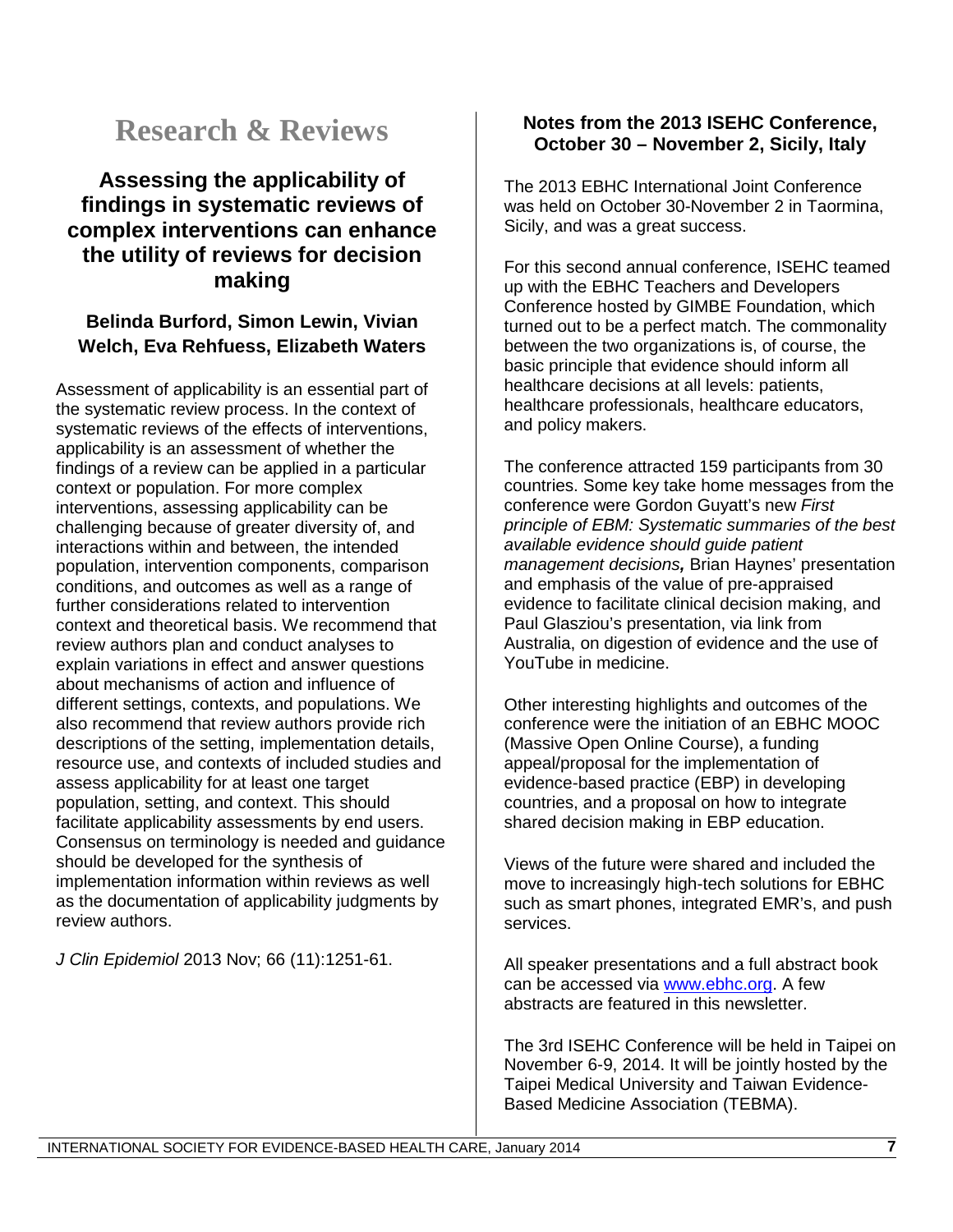# **Research & Reviews**

# **Assessing the applicability of findings in systematic reviews of complex interventions can enhance the utility of reviews for decision making**

## **Belinda Burford, Simon Lewin, Vivian Welch, Eva Rehfuess, Elizabeth Waters**

Assessment of applicability is an essential part of the systematic review process. In the context of systematic reviews of the effects of interventions, applicability is an assessment of whether the findings of a review can be applied in a particular context or population. For more complex interventions, assessing applicability can be challenging because of greater diversity of, and interactions within and between, the intended population, intervention components, comparison conditions, and outcomes as well as a range of further considerations related to intervention context and theoretical basis. We recommend that review authors plan and conduct analyses to explain variations in effect and answer questions about mechanisms of action and influence of different settings, contexts, and populations. We also recommend that review authors provide rich descriptions of the setting, implementation details, resource use, and contexts of included studies and assess applicability for at least one target population, setting, and context. This should facilitate applicability assessments by end users. Consensus on terminology is needed and guidance should be developed for the synthesis of implementation information within reviews as well as the documentation of applicability judgments by review authors.

*J Clin Epidemiol* 2013 Nov; 66 (11):1251-61.

### **Notes from the 2013 ISEHC Conference, October 30 – November 2, Sicily, Italy**

The 2013 EBHC International Joint Conference was held on October 30-November 2 in Taormina, Sicily, and was a great success.

For this second annual conference, ISEHC teamed up with the EBHC Teachers and Developers Conference hosted by GIMBE Foundation, which turned out to be a perfect match. The commonality between the two organizations is, of course, the basic principle that evidence should inform all healthcare decisions at all levels: patients, healthcare professionals, healthcare educators, and policy makers.

The conference attracted 159 participants from 30 countries. Some key take home messages from the conference were Gordon Guyatt's new *First principle of EBM: Systematic summaries of the best available evidence should guide patient management decisions,* Brian Haynes' presentation and emphasis of the value of pre-appraised evidence to facilitate clinical decision making, and Paul Glasziou's presentation, via link from Australia, on digestion of evidence and the use of YouTube in medicine.

Other interesting highlights and outcomes of the conference were the initiation of an EBHC MOOC (Massive Open Online Course), a funding appeal/proposal for the implementation of evidence-based practice (EBP) in developing countries, and a proposal on how to integrate shared decision making in EBP education.

Views of the future were shared and included the move to increasingly high-tech solutions for EBHC such as smart phones, integrated EMR's, and push services.

All speaker presentations and a full abstract book can be accessed via [www.ebhc.org.](http://www.ebhc.org/) A few abstracts are featured in this newsletter.

The 3rd ISEHC Conference will be held in Taipei on November 6-9, 2014. It will be jointly hosted by the Taipei Medical University and Taiwan Evidence-Based Medicine Association (TEBMA).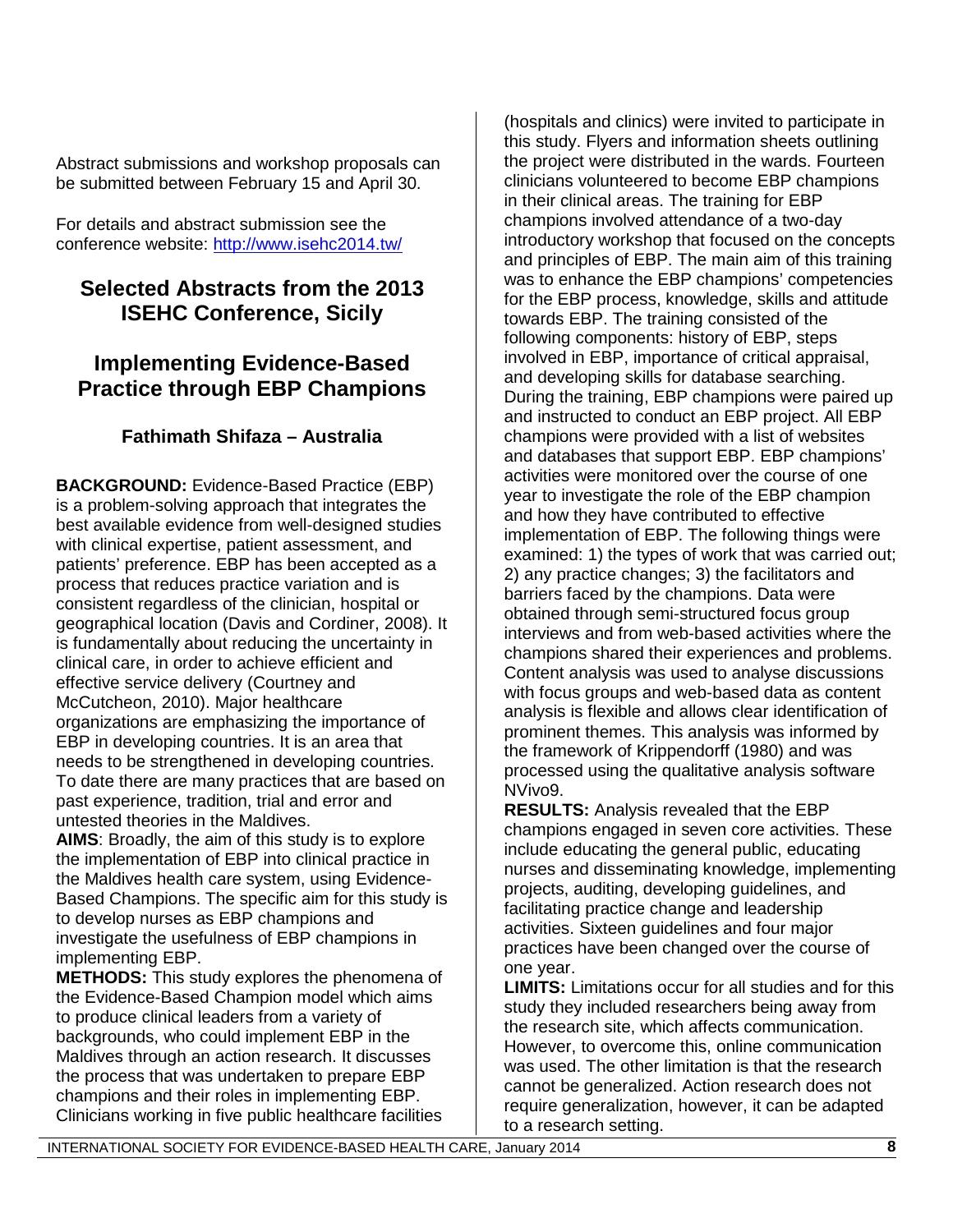Abstract submissions and workshop proposals can be submitted between February 15 and April 30.

For details and abstract submission see the conference website:<http://www.isehc2014.tw/>

# **Selected Abstracts from the 2013 ISEHC Conference, Sicily**

# **Implementing Evidence-Based Practice through EBP Champions**

# **Fathimath Shifaza – Australia**

**BACKGROUND:** Evidence-Based Practice (EBP) is a problem-solving approach that integrates the best available evidence from well-designed studies with clinical expertise, patient assessment, and patients' preference. EBP has been accepted as a process that reduces practice variation and is consistent regardless of the clinician, hospital or geographical location (Davis and Cordiner, 2008). It is fundamentally about reducing the uncertainty in clinical care, in order to achieve efficient and effective service delivery (Courtney and McCutcheon, 2010). Major healthcare organizations are emphasizing the importance of EBP in developing countries. It is an area that needs to be strengthened in developing countries. To date there are many practices that are based on past experience, tradition, trial and error and untested theories in the Maldives.

**AIMS**: Broadly, the aim of this study is to explore the implementation of EBP into clinical practice in the Maldives health care system, using Evidence-Based Champions. The specific aim for this study is to develop nurses as EBP champions and investigate the usefulness of EBP champions in implementing EBP.

**METHODS:** This study explores the phenomena of the Evidence-Based Champion model which aims to produce clinical leaders from a variety of backgrounds, who could implement EBP in the Maldives through an action research. It discusses the process that was undertaken to prepare EBP champions and their roles in implementing EBP. Clinicians working in five public healthcare facilities

(hospitals and clinics) were invited to participate in this study. Flyers and information sheets outlining the project were distributed in the wards. Fourteen clinicians volunteered to become EBP champions in their clinical areas. The training for EBP champions involved attendance of a two-day introductory workshop that focused on the concepts and principles of EBP. The main aim of this training was to enhance the EBP champions' competencies for the EBP process, knowledge, skills and attitude towards EBP. The training consisted of the following components: history of EBP, steps involved in EBP, importance of critical appraisal, and developing skills for database searching. During the training, EBP champions were paired up and instructed to conduct an EBP project. All EBP champions were provided with a list of websites and databases that support EBP. EBP champions' activities were monitored over the course of one year to investigate the role of the EBP champion and how they have contributed to effective implementation of EBP. The following things were examined: 1) the types of work that was carried out; 2) any practice changes; 3) the facilitators and barriers faced by the champions. Data were obtained through semi-structured focus group interviews and from web-based activities where the champions shared their experiences and problems. Content analysis was used to analyse discussions with focus groups and web-based data as content analysis is flexible and allows clear identification of prominent themes. This analysis was informed by the framework of Krippendorff (1980) and was processed using the qualitative analysis software NVivo9.

**RESULTS:** Analysis revealed that the EBP champions engaged in seven core activities. These include educating the general public, educating nurses and disseminating knowledge, implementing projects, auditing, developing guidelines, and facilitating practice change and leadership activities. Sixteen guidelines and four major practices have been changed over the course of one year.

**LIMITS:** Limitations occur for all studies and for this study they included researchers being away from the research site, which affects communication. However, to overcome this, online communication was used. The other limitation is that the research cannot be generalized. Action research does not require generalization, however, it can be adapted to a research setting.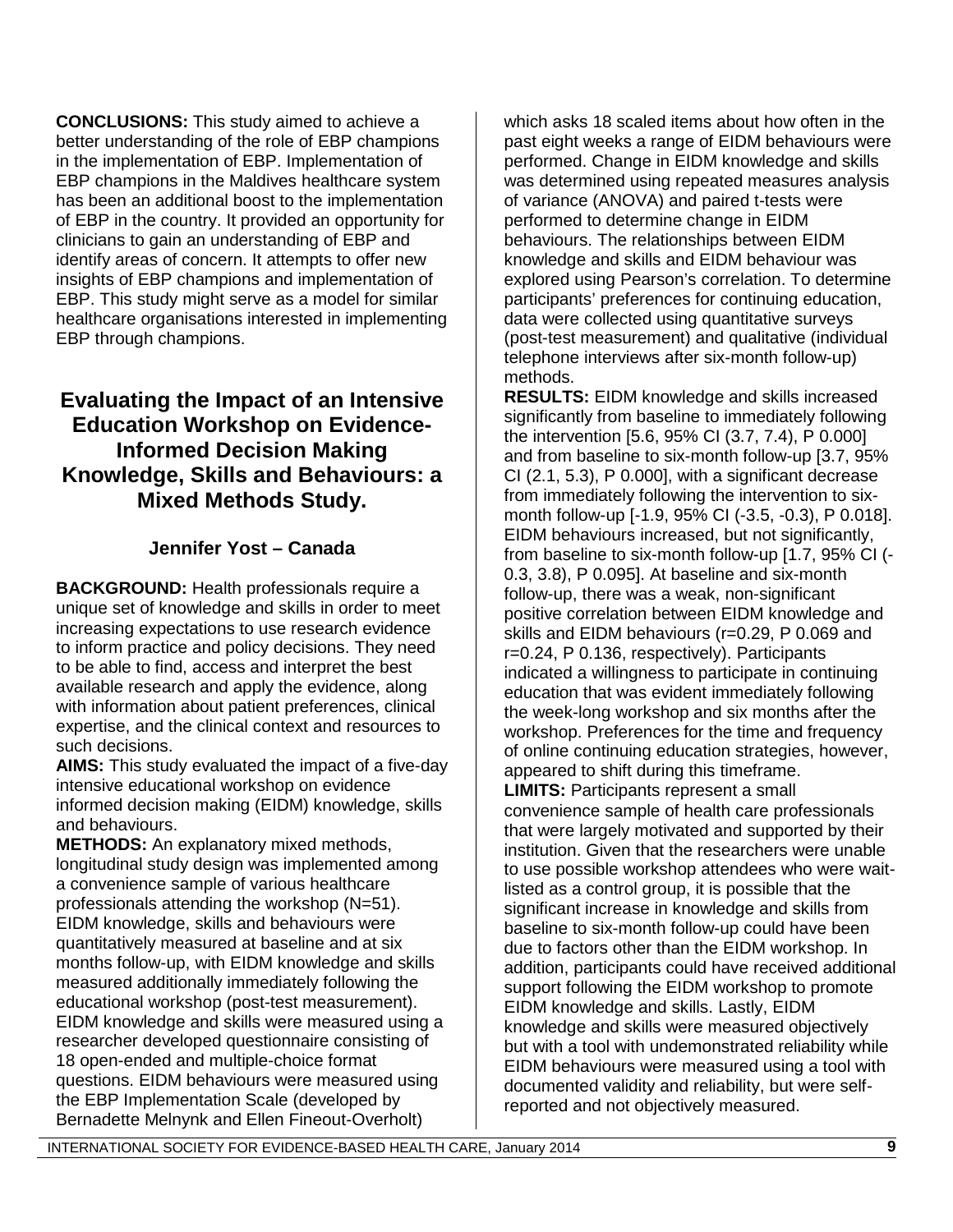**CONCLUSIONS:** This study aimed to achieve a better understanding of the role of EBP champions in the implementation of EBP. Implementation of EBP champions in the Maldives healthcare system has been an additional boost to the implementation of EBP in the country. It provided an opportunity for clinicians to gain an understanding of EBP and identify areas of concern. It attempts to offer new insights of EBP champions and implementation of EBP. This study might serve as a model for similar healthcare organisations interested in implementing EBP through champions.

# **Evaluating the Impact of an Intensive Education Workshop on Evidence-Informed Decision Making Knowledge, Skills and Behaviours: a Mixed Methods Study.**

## **Jennifer Yost – Canada**

**BACKGROUND:** Health professionals require a unique set of knowledge and skills in order to meet increasing expectations to use research evidence to inform practice and policy decisions. They need to be able to find, access and interpret the best available research and apply the evidence, along with information about patient preferences, clinical expertise, and the clinical context and resources to such decisions.

**AIMS:** This study evaluated the impact of a five-day intensive educational workshop on evidence informed decision making (EIDM) knowledge, skills and behaviours.

**METHODS:** An explanatory mixed methods, longitudinal study design was implemented among a convenience sample of various healthcare professionals attending the workshop (N=51). EIDM knowledge, skills and behaviours were quantitatively measured at baseline and at six months follow-up, with EIDM knowledge and skills measured additionally immediately following the educational workshop (post-test measurement). EIDM knowledge and skills were measured using a researcher developed questionnaire consisting of 18 open-ended and multiple-choice format questions. EIDM behaviours were measured using the EBP Implementation Scale (developed by Bernadette Melnynk and Ellen Fineout-Overholt)

which asks 18 scaled items about how often in the past eight weeks a range of EIDM behaviours were performed. Change in EIDM knowledge and skills was determined using repeated measures analysis of variance (ANOVA) and paired t-tests were performed to determine change in EIDM behaviours. The relationships between EIDM knowledge and skills and EIDM behaviour was explored using Pearson's correlation. To determine participants' preferences for continuing education, data were collected using quantitative surveys (post-test measurement) and qualitative (individual telephone interviews after six-month follow-up) methods.

**RESULTS:** EIDM knowledge and skills increased significantly from baseline to immediately following the intervention [5.6, 95% CI (3.7, 7.4), P 0.000] and from baseline to six-month follow-up [3.7, 95% CI (2.1, 5.3), P 0.000], with a significant decrease from immediately following the intervention to sixmonth follow-up [-1.9, 95% CI (-3.5, -0.3), P 0.018]. EIDM behaviours increased, but not significantly, from baseline to six-month follow-up [1.7, 95% CI (- 0.3, 3.8), P 0.095]. At baseline and six-month follow-up, there was a weak, non-significant positive correlation between EIDM knowledge and skills and EIDM behaviours (r=0.29, P 0.069 and r=0.24, P 0.136, respectively). Participants indicated a willingness to participate in continuing education that was evident immediately following the week-long workshop and six months after the workshop. Preferences for the time and frequency of online continuing education strategies, however, appeared to shift during this timeframe. **LIMITS: Participants represent a small** convenience sample of health care professionals that were largely motivated and supported by their institution. Given that the researchers were unable to use possible workshop attendees who were waitlisted as a control group, it is possible that the significant increase in knowledge and skills from baseline to six-month follow-up could have been due to factors other than the EIDM workshop. In addition, participants could have received additional support following the EIDM workshop to promote EIDM knowledge and skills. Lastly, EIDM knowledge and skills were measured objectively but with a tool with undemonstrated reliability while EIDM behaviours were measured using a tool with documented validity and reliability, but were selfreported and not objectively measured.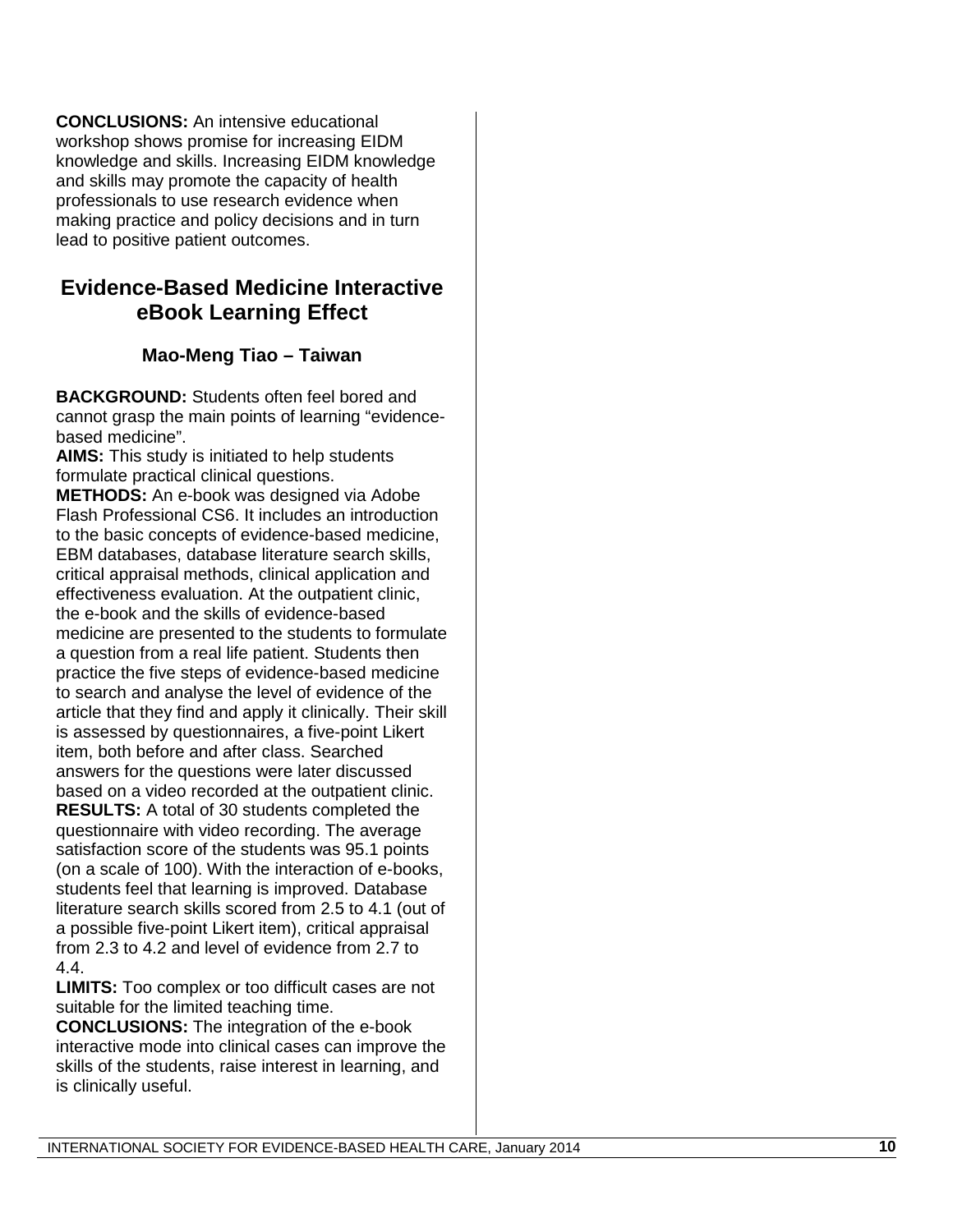**CONCLUSIONS:** An intensive educational workshop shows promise for increasing EIDM knowledge and skills. Increasing EIDM knowledge and skills may promote the capacity of health professionals to use research evidence when making practice and policy decisions and in turn lead to positive patient outcomes.

# **Evidence -Based Medicine Interactive eBook Learning Effect**

# **Mao -Meng Tiao – Taiwan**

**BACKGROUND:** Students often feel bored and cannot grasp the main points of learning "evidence based medicine".

**AIMS:** This study is initiated to help students formulate practical clinical questions.

**METHODS:** An e -book was designed via Adobe Flash Professional CS6. It includes an introduction to the basic concepts of evidence -based medicine, EBM databases, database literature search skills, critical appraisal methods, clinical application and effectiveness evaluation. At the outpatient clinic, the e -book and the skills of evidence -based medicine are presented to the students to formulate a question from a real life patient. Students then practice the five steps of evidence -based medicine to search and analyse the level of evidence of the article that they find and apply it clinically. Their skill is assessed by questionnaires, a five -point Likert item, both before and after class. Searched answers for the questions were later discussed based on a video recorded at the outpatient clinic. **RESULTS:** A total of 30 students completed the questionnaire with video recording. The average satisfaction score of the students was 95.1 points (on a scale of 100). With the interaction of e -books, students feel that learning is improved. Database literature search skills scored from 2.5 to 4.1 (out of a possible five -point Likert item), critical appraisal from 2.3 to 4.2 and level of evidence from 2.7 to 4.4.

**LIMITS:** Too complex o r too difficult cases are not suitable for the limited teaching time.

**CONCLUSIONS:** The integration of the e -book interactive mode into clinical cases can improve the skills of the students, raise interest in learning, and is clinically useful.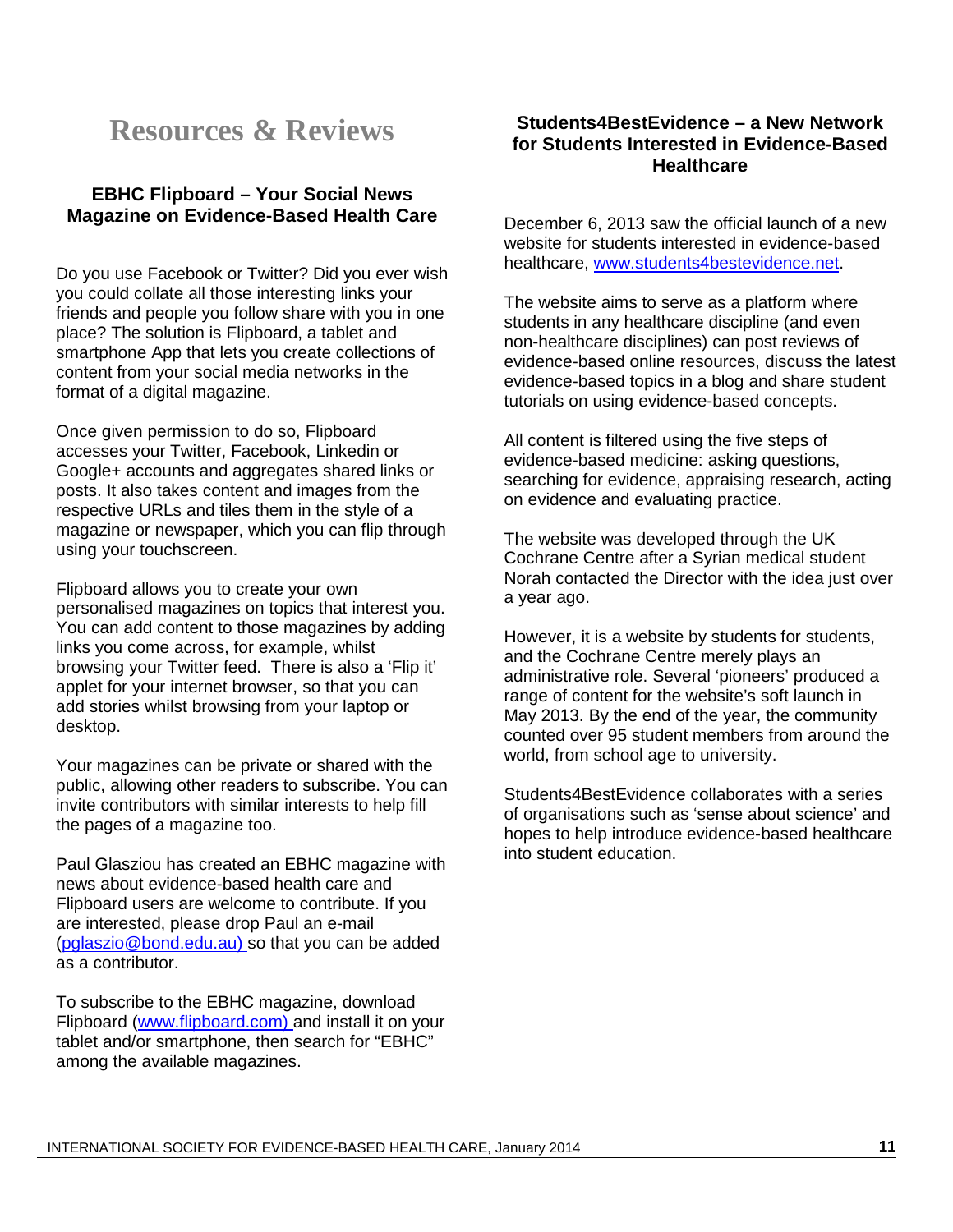# **Resources & Reviews**

### **EBHC Flipboard – Your Social News Magazine on Evidence-Based Health Care**

Do you use Facebook or Twitter? Did you ever wish you could collate all those interesting links your friends and people you follow share with you in one place? The solution is Flipboard, a tablet and smartphone App that lets you create collections of content from your social media networks in the format of a digital magazine.

Once given permission to do so, Flipboard accesses your Twitter, Facebook, Linkedin or Google+ accounts and aggregates shared links or posts. It also takes content and images from the respective URLs and tiles them in the style of a magazine or newspaper, which you can flip through using your touchscreen.

Flipboard allows you to create your own personalised magazines on topics that interest you. You can add content to those magazines by adding links you come across, for example, whilst browsing your Twitter feed. There is also a 'Flip it' applet for your internet browser, so that you can add stories whilst browsing from your laptop or desktop.

Your magazines can be private or shared with the public, allowing other readers to subscribe. You can invite contributors with similar interests to help fill the pages of a magazine too.

Paul Glasziou has created an EBHC magazine with news about evidence-based health care and Flipboard users are welcome to contribute. If you are interested, please drop Paul an e-mail (pglaszio@bond.edu.au) so that you can be added as a contributor.

To subscribe to the EBHC magazine, download Flipboard [\(www.flipboard.com\)](http://www.flipboard.com/) and install it on your tablet and/or smartphone, then search for "EBHC" among the available magazines.

#### **Students4BestEvidence – a New Network for Students Interested in Evidence-Based Healthcare**

December 6, 2013 saw the official launch of a new website for students interested in evidence-based healthcare, [www.students4bestevidence.net.](http://www.students4bestevidence.net/)

The website aims to serve as a platform where students in any healthcare discipline (and even non-healthcare disciplines) can post reviews of evidence-based online resources, discuss the latest evidence-based topics in a blog and share student tutorials on using evidence-based concepts.

All content is filtered using the five steps of evidence-based medicine: asking questions, searching for evidence, appraising research, acting on evidence and evaluating practice.

The website was developed through the UK Cochrane Centre after a Syrian medical student Norah contacted the Director with the idea just over a year ago.

However, it is a website by students for students, and the Cochrane Centre merely plays an administrative role. Several 'pioneers' produced a range of content for the website's soft launch in May 2013. By the end of the year, the community counted over 95 student members from around the world, from school age to university.

Students4BestEvidence collaborates with a series of organisations such as 'sense about science' and hopes to help introduce evidence-based healthcare into student education.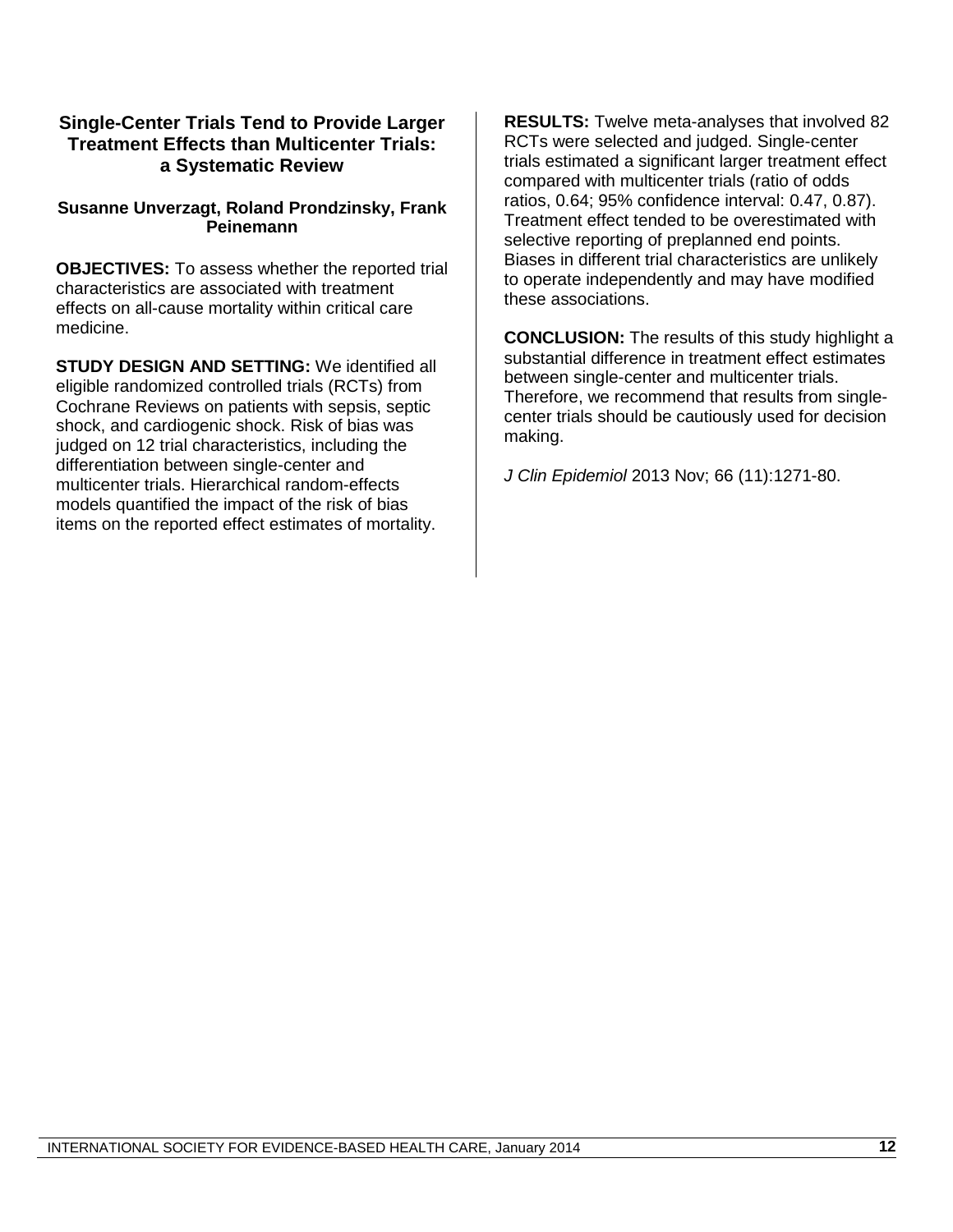#### **Single-Center Trials Tend to Provide Larger Treatment Effects than Multicenter Trials: a Systematic Review**

#### **Susanne Unverzagt, Roland Prondzinsky, Frank Peinemann**

**OBJECTIVES:** To assess whether the reported trial characteristics are associated with treatment effects on all-cause mortality within critical care medicine.

**STUDY DESIGN AND SETTING:** We identified all eligible randomized controlled trials (RCTs) from Cochrane Reviews on patients with sepsis, septic shock, and cardiogenic shock. Risk of bias was judged on 12 trial characteristics, including the differentiation between single-center and multicenter trials. Hierarchical random-effects models quantified the impact of the risk of bias items on the reported effect estimates of mortality.

**RESULTS:** Twelve meta-analyses that involved 82 RCTs were selected and judged. Single-center trials estimated a significant larger treatment effect compared with multicenter trials (ratio of odds ratios, 0.64; 95% confidence interval: 0.47, 0.87). Treatment effect tended to be overestimated with selective reporting of preplanned end points. Biases in different trial characteristics are unlikely to operate independently and may have modified these associations.

**CONCLUSION:** The results of this study highlight a substantial difference in treatment effect estimates between single-center and multicenter trials. Therefore, we recommend that results from singlecenter trials should be cautiously used for decision making.

*J Clin Epidemiol* 2013 Nov; 66 (11):1271-80.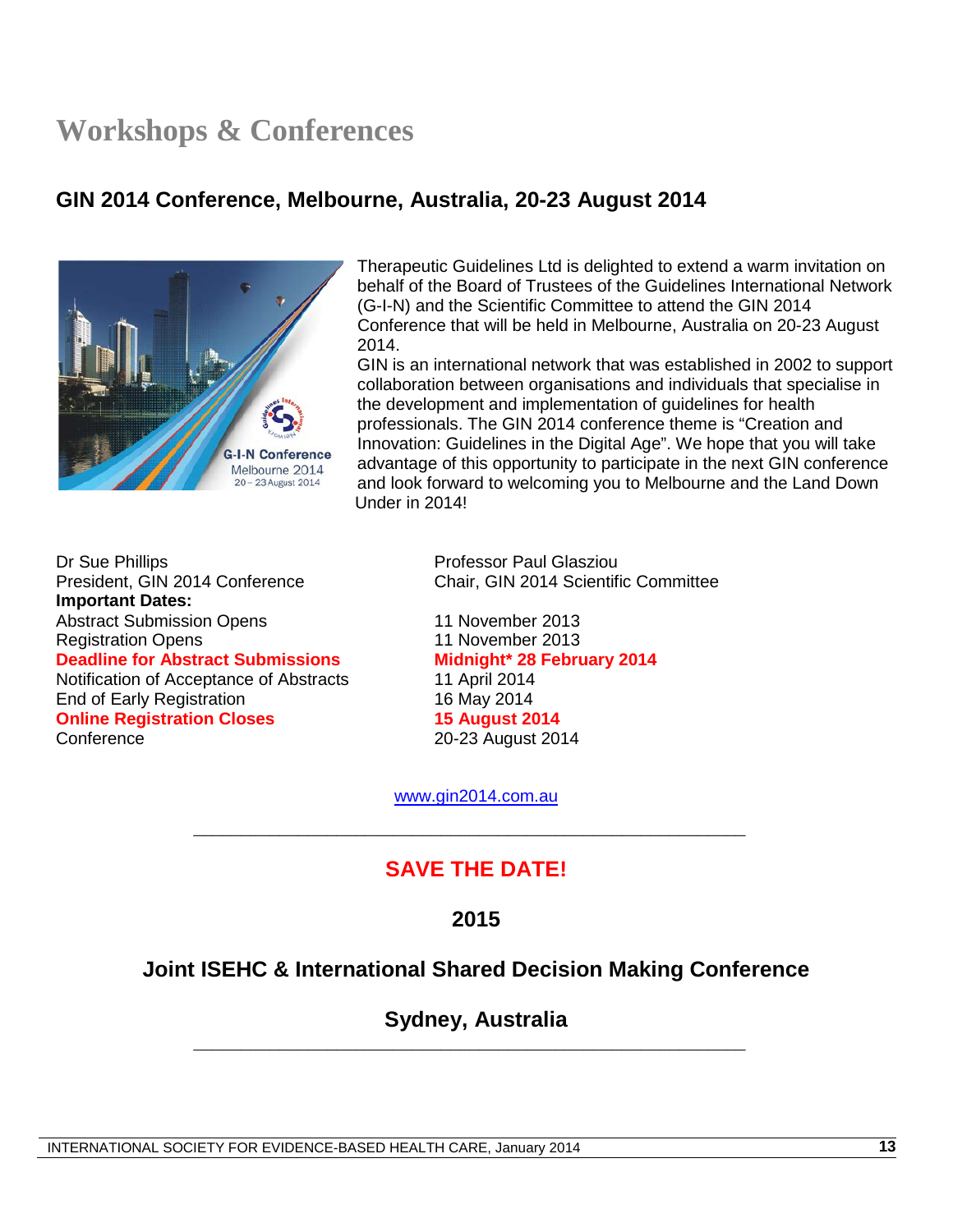# **Workshops & Conferences**

# **GIN 2014 Conference, Melbourne, Australia, 20-23 August 2014**



Therapeutic Guidelines Ltd is delighted to extend a warm invitation on behalf of the Board of Trustees of the Guidelines International Network (G-I-N) and the Scientific Committee to attend the GIN 2014 Conference that will be held in Melbourne, Australia on 20-23 August 2014.

GIN is an international network that was established in 2002 to support collaboration between organisations and individuals that specialise in the development and implementation of guidelines for health professionals. The GIN 2014 conference theme is "Creation and Innovation: Guidelines in the Digital Age". We hope that you will take advantage of this opportunity to participate in the next GIN conference and look forward to welcoming you to Melbourne and the Land Down Under in 2014!

Dr Sue Phillips<br>Professor Paul Glasziou<br>President, GIN 2014 Conference<br>Chair, GIN 2014 Scientifi **Important Dates:** Abstract Submission Opens 11 November 2013 Registration Opens 11 November 2013 **Deadline for Abstract Submissions Midnight\* 28 February 2014** Notification of Acceptance of Abstracts 11 April 2014<br>End of Early Registration 16 May 2014 End of Early Registration<br> **Online Registration Closes**<br>
15 August 2014 **Online Registration Closes**<br>**Conference** 

Chair, GIN 2014 Scientific Committee

20-23 August 2014

[www.gin2014.com.au](http://www.gin2014.com.au/)

\_\_\_\_\_\_\_\_\_\_\_\_\_\_\_\_\_\_\_\_\_\_\_\_\_\_\_\_\_\_\_\_\_\_\_\_\_\_\_\_\_\_\_\_\_\_\_\_\_\_\_\_\_\_\_\_\_\_

# **SAVE THE DATE!**

**2015**

# **Joint ISEHC & International Shared Decision Making Conference**

**Sydney, Australia** \_\_\_\_\_\_\_\_\_\_\_\_\_\_\_\_\_\_\_\_\_\_\_\_\_\_\_\_\_\_\_\_\_\_\_\_\_\_\_\_\_\_\_\_\_\_\_\_\_\_\_\_\_\_\_\_\_\_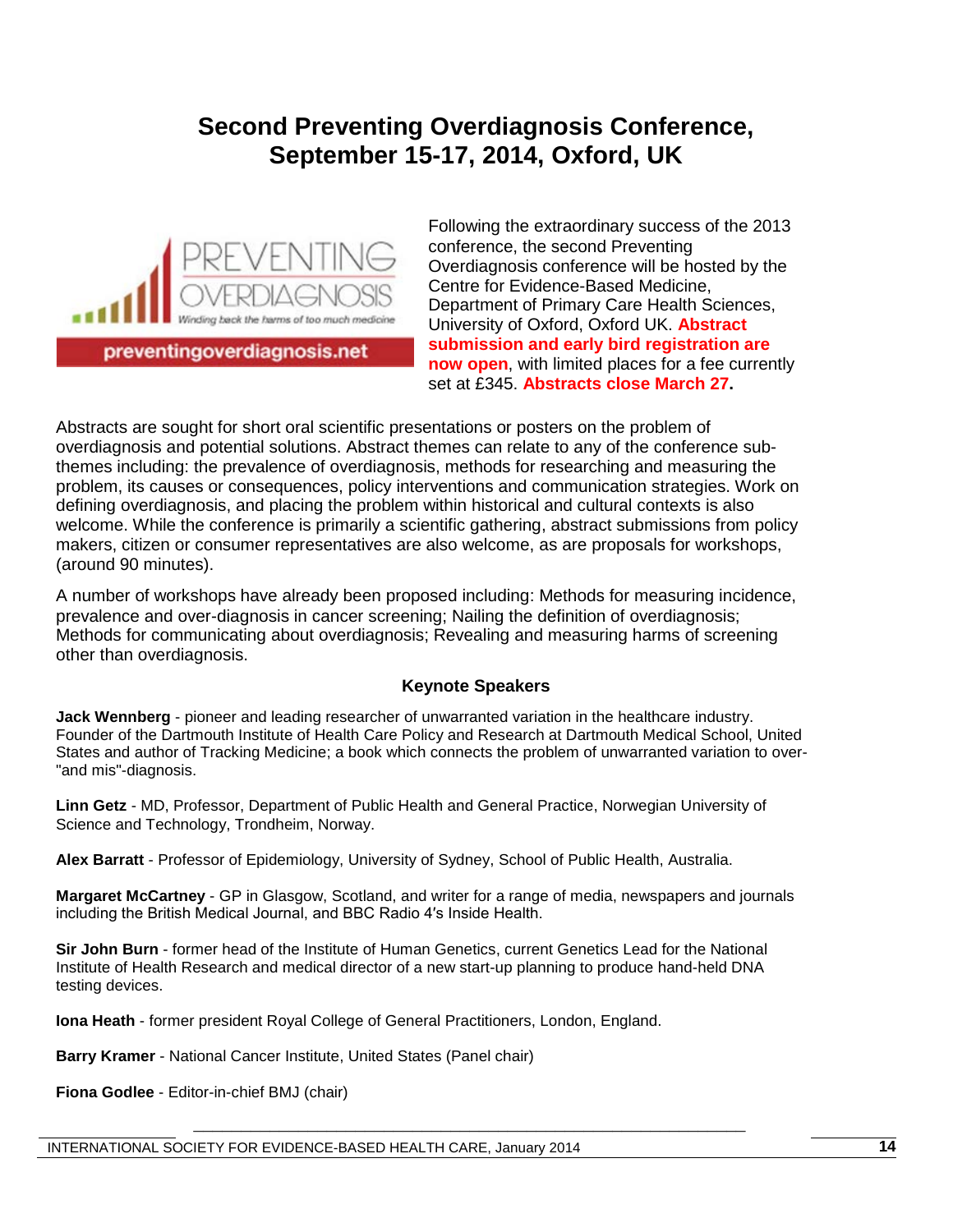# **Second Preventing Overdiagnosis Conference, September 15-17, 2014, Oxford, UK**



preventingoverdiagnosis.net

Following the extraordinary success of the 2013 conference, the second Preventing Overdiagnosis conference will be hosted by the Centre for Evidence-Based Medicine, Department of Primary Care Health Sciences, University of Oxford, Oxford UK. **Abstract submission and early bird registration are now open**, with limited places for a fee currently set at £345. **Abstracts close March 27.**

Abstracts are sought for short oral scientific presentations or posters on the problem of overdiagnosis and potential solutions. Abstract themes can relate to any of the conference subthemes including: the prevalence of overdiagnosis, methods for researching and measuring the problem, its causes or consequences, policy interventions and communication strategies. Work on defining overdiagnosis, and placing the problem within historical and cultural contexts is also welcome. While the conference is primarily a scientific gathering, abstract submissions from policy makers, citizen or consumer representatives are also welcome, as are proposals for workshops, (around 90 minutes).

A number of workshops have already been proposed including: Methods for measuring incidence, prevalence and over-diagnosis in cancer screening; Nailing the definition of overdiagnosis; Methods for communicating about overdiagnosis; Revealing and measuring harms of screening other than overdiagnosis.

#### **Keynote Speakers**

**Jack Wennberg** - pioneer and leading researcher of unwarranted variation in the healthcare industry. Founder of the Dartmouth Institute of Health Care Policy and Research at Dartmouth Medical School, United States and author of Tracking Medicine; a book which connects the problem of unwarranted variation to over- "and mis"-diagnosis.

**Linn Getz** - MD, Professor, Department of Public Health and General Practice, Norwegian University of Science and Technology, Trondheim, Norway.

**Alex Barratt** - Professor of Epidemiology, University of Sydney, School of Public Health, Australia.

**Margaret McCartney** - GP in Glasgow, Scotland, and writer for a range of media, newspapers and journals including the British Medical Journal, and BBC Radio 4′s Inside Health.

\_\_\_\_\_\_\_\_\_\_\_\_\_\_\_\_\_\_\_\_\_\_\_\_\_\_\_\_\_\_\_\_\_\_\_\_\_\_\_\_\_\_\_\_\_\_\_\_\_\_\_\_\_\_\_\_\_\_

**Sir John Burn** - former head of the Institute of Human Genetics, current Genetics Lead for the National Institute of Health Research and medical director of a new start-up planning to produce hand-held DNA testing devices.

**Iona Heath** - former president Royal College of General Practitioners, London, England.

**Barry Kramer** - National Cancer Institute, United States (Panel chair)

**Fiona Godlee** - Editor-in-chief BMJ (chair)

INTERNATIONAL SOCIETY FOR EVIDENCE-BASED HEALTH CARE, January 2014 **14**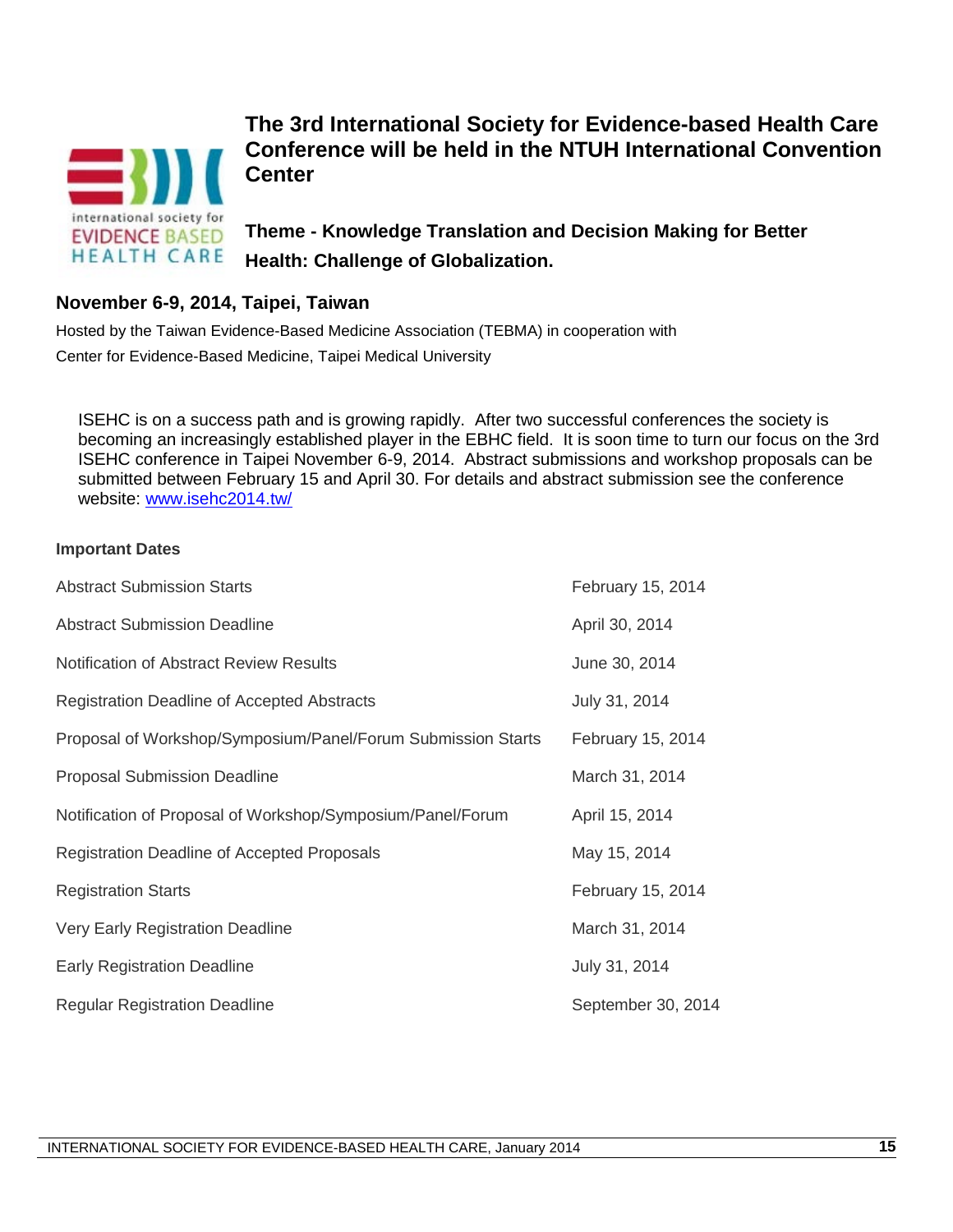

# **The 3rd International Society for Evidence-based Health Care Conference will be held in the NTUH International Convention Center**

**Theme - Knowledge Translation and Decision Making for Better Health: Challenge of Globalization.**

### **November 6-9, 2014, Taipei, Taiwan**

Hosted by the Taiwan Evidence-Based Medicine Association (TEBMA) in cooperation with Center for Evidence-Based Medicine, Taipei Medical University

ISEHC is on a success path and is growing rapidly. After two successful conferences the society is becoming an increasingly established player in the EBHC field. It is soon time to turn our focus on the 3rd ISEHC conference in Taipei November 6-9, 2014. Abstract submissions and workshop proposals can be submitted between February 15 and April 30. For details and abstract submission see the conference website: [www.isehc2014.tw/](http://www.isehc2014.tw/)

#### **Important Dates**

| <b>Abstract Submission Starts</b>                            | February 15, 2014  |
|--------------------------------------------------------------|--------------------|
| <b>Abstract Submission Deadline</b>                          | April 30, 2014     |
| <b>Notification of Abstract Review Results</b>               | June 30, 2014      |
| <b>Registration Deadline of Accepted Abstracts</b>           | July 31, 2014      |
| Proposal of Workshop/Symposium/Panel/Forum Submission Starts | February 15, 2014  |
| <b>Proposal Submission Deadline</b>                          | March 31, 2014     |
| Notification of Proposal of Workshop/Symposium/Panel/Forum   | April 15, 2014     |
| Registration Deadline of Accepted Proposals                  | May 15, 2014       |
| <b>Registration Starts</b>                                   | February 15, 2014  |
| Very Early Registration Deadline                             | March 31, 2014     |
| <b>Early Registration Deadline</b>                           | July 31, 2014      |
| <b>Regular Registration Deadline</b>                         | September 30, 2014 |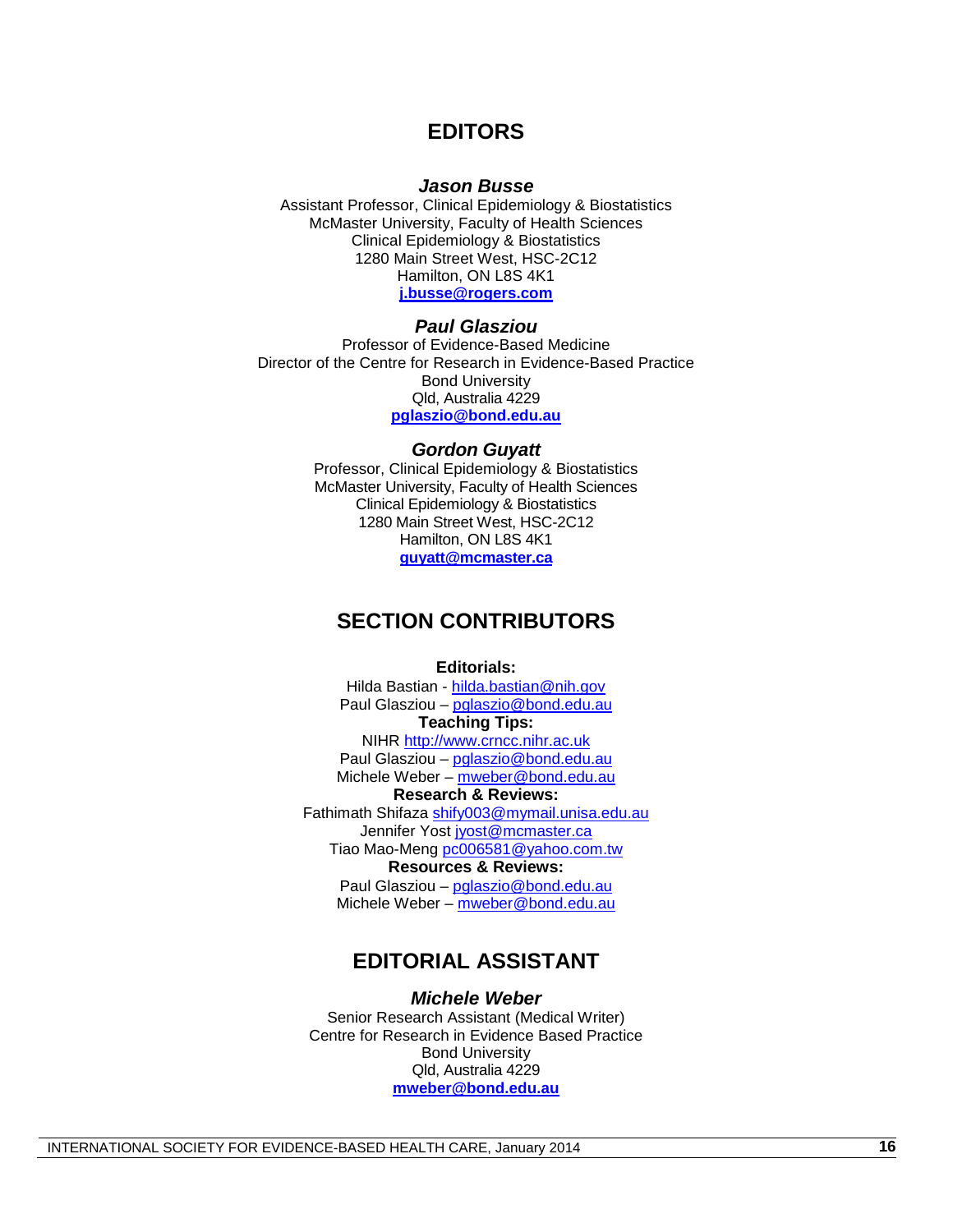## **EDITORS**

#### *Jason Busse*

Assistant Professor, Clinical Epidemiology & Biostatistics McMaster University, Faculty of Health Sciences Clinical Epidemiology & Biostatistics 1280 Main Street West, HSC-2C12 Hamilton, ON L8S 4K1 **[j.busse@rogers.com](mailto:j.busse@rogers.com)**

#### *Paul Glasziou*

Professor of Evidence-Based Medicine Director of the Centre for Research in Evidence-Based Practice Bond University Qld, Australia 4229 **[pglaszio@bond.edu.au](mailto:pglaszio@bond.edu.au)**

#### *Gordon Guyatt*

Professor, Clinical Epidemiology & Biostatistics McMaster University, Faculty of Health Sciences Clinical Epidemiology & Biostatistics 1280 Main Street West, HSC-2C12 Hamilton, ON L8S 4K1 **[guyatt@mcmaster.ca](mailto:guyatt@mcmaster.ca)**

## **SECTION CONTRIBUTORS**

#### **Editorials:**

Hilda Bastian - [hilda.bastian@nih.gov](mailto:hilda.bastian@nih.gov) Paul Glasziou – [pglaszio@bond.edu.au](mailto:pglaszio@bond.edu.au) **Teaching Tips:** NIHR [http://www.crncc.nihr.ac.uk](http://www.crncc.nihr.ac.uk/)

Paul Glasziou – [pglaszio@bond.edu.au](mailto:pglaszio@bond.edu.au) Michele Weber – [mweber@bond.edu.au](mailto:mweber@bond.edu.au)

#### **Research & Reviews:**

Fathimath Shifaza [shify003@mymail.unisa.edu.au](mailto:shify003@mymail.unisa.edu.au) Jennifer Yost [jyost@mcmaster.ca](mailto:jyost@mcmaster.ca) Tiao Mao-Meng [pc006581@yahoo.com.tw](mailto:pc006581@yahoo.com.tw)

#### **Resources & Reviews:**

Paul Glasziou – [pglaszio@bond.edu.au](mailto:pglaszio@bond.edu.au) Michele Weber – [mweber@bond.edu.au](mailto:mweber@bond.edu.au)

# **EDITORIAL ASSISTANT**

#### *Michele Weber*

Senior Research Assistant (Medical Writer) Centre for Research in Evidence Based Practice Bond University Qld, Australia 4229 **[mweber@bond.edu.au](mailto:mweber@bond.edu.au)**